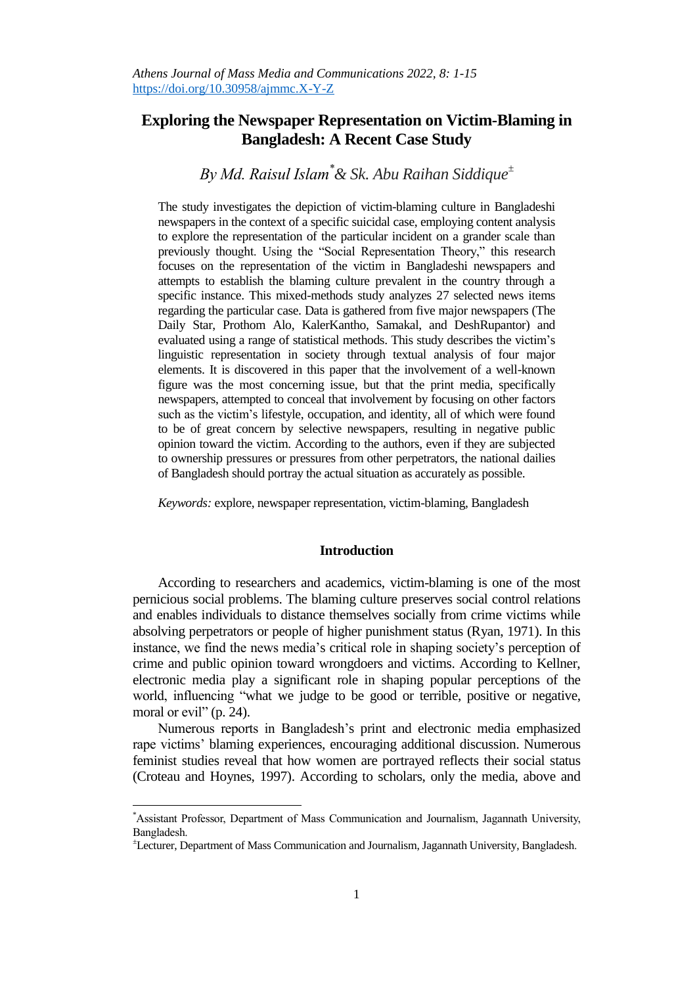## **Exploring the Newspaper Representation on Victim-Blaming in Bangladesh: A Recent Case Study**

# *By Md. Raisul Islam\*& Sk. Abu Raihan Siddique<sup>±</sup>*

The study investigates the depiction of victim-blaming culture in Bangladeshi newspapers in the context of a specific suicidal case, employing content analysis to explore the representation of the particular incident on a grander scale than previously thought. Using the "Social Representation Theory," this research focuses on the representation of the victim in Bangladeshi newspapers and attempts to establish the blaming culture prevalent in the country through a specific instance. This mixed-methods study analyzes 27 selected news items regarding the particular case. Data is gathered from five major newspapers (The Daily Star, Prothom Alo, KalerKantho, Samakal, and DeshRupantor) and evaluated using a range of statistical methods. This study describes the victim's linguistic representation in society through textual analysis of four major elements. It is discovered in this paper that the involvement of a well-known figure was the most concerning issue, but that the print media, specifically newspapers, attempted to conceal that involvement by focusing on other factors such as the victim's lifestyle, occupation, and identity, all of which were found to be of great concern by selective newspapers, resulting in negative public opinion toward the victim. According to the authors, even if they are subjected to ownership pressures or pressures from other perpetrators, the national dailies of Bangladesh should portray the actual situation as accurately as possible.

*Keywords:* explore, newspaper representation, victim-blaming, Bangladesh

## **Introduction**

According to researchers and academics, victim-blaming is one of the most pernicious social problems. The blaming culture preserves social control relations and enables individuals to distance themselves socially from crime victims while absolving perpetrators or people of higher punishment status (Ryan, 1971). In this instance, we find the news media's critical role in shaping society's perception of crime and public opinion toward wrongdoers and victims. According to Kellner, electronic media play a significant role in shaping popular perceptions of the world, influencing "what we judge to be good or terrible, positive or negative, moral or evil"  $(p. 24)$ .

Numerous reports in Bangladesh's print and electronic media emphasized rape victims' blaming experiences, encouraging additional discussion. Numerous feminist studies reveal that how women are portrayed reflects their social status (Croteau and Hoynes, 1997). According to scholars, only the media, above and

 $\overline{a}$ 

<sup>\*</sup>Assistant Professor, Department of Mass Communication and Journalism, Jagannath University, Bangladesh.

<sup>±</sup>Lecturer, Department of Mass Communication and Journalism, Jagannath University, Bangladesh.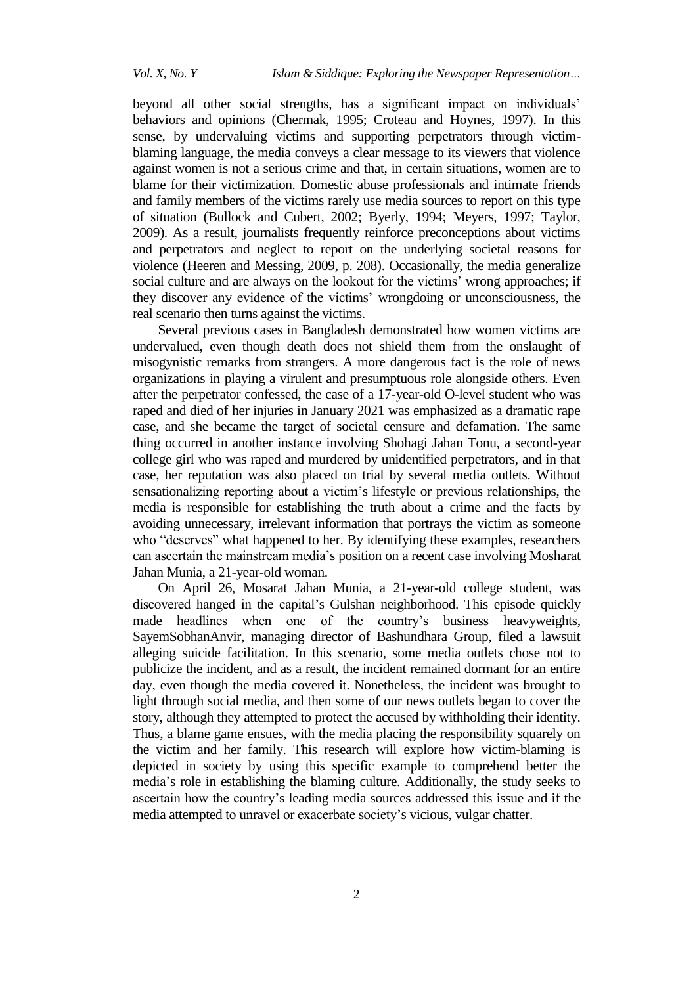beyond all other social strengths, has a significant impact on individuals' behaviors and opinions (Chermak, 1995; Croteau and Hoynes, 1997). In this sense, by undervaluing victims and supporting perpetrators through victimblaming language, the media conveys a clear message to its viewers that violence against women is not a serious crime and that, in certain situations, women are to blame for their victimization. Domestic abuse professionals and intimate friends and family members of the victims rarely use media sources to report on this type of situation (Bullock and Cubert, 2002; Byerly, 1994; Meyers, 1997; Taylor, 2009). As a result, journalists frequently reinforce preconceptions about victims and perpetrators and neglect to report on the underlying societal reasons for violence (Heeren and Messing, 2009, p. 208). Occasionally, the media generalize social culture and are always on the lookout for the victims' wrong approaches; if they discover any evidence of the victims' wrongdoing or unconsciousness, the real scenario then turns against the victims.

Several previous cases in Bangladesh demonstrated how women victims are undervalued, even though death does not shield them from the onslaught of misogynistic remarks from strangers. A more dangerous fact is the role of news organizations in playing a virulent and presumptuous role alongside others. Even after the perpetrator confessed, the case of a 17-year-old O-level student who was raped and died of her injuries in January 2021 was emphasized as a dramatic rape case, and she became the target of societal censure and defamation. The same thing occurred in another instance involving Shohagi Jahan Tonu, a second-year college girl who was raped and murdered by unidentified perpetrators, and in that case, her reputation was also placed on trial by several media outlets. Without sensationalizing reporting about a victim's lifestyle or previous relationships, the media is responsible for establishing the truth about a crime and the facts by avoiding unnecessary, irrelevant information that portrays the victim as someone who "deserves" what happened to her. By identifying these examples, researchers can ascertain the mainstream media's position on a recent case involving Mosharat Jahan Munia, a 21-year-old woman.

On April 26, Mosarat Jahan Munia, a 21-year-old college student, was discovered hanged in the capital's Gulshan neighborhood. This episode quickly made headlines when one of the country's business heavyweights, SayemSobhanAnvir, managing director of Bashundhara Group, filed a lawsuit alleging suicide facilitation. In this scenario, some media outlets chose not to publicize the incident, and as a result, the incident remained dormant for an entire day, even though the media covered it. Nonetheless, the incident was brought to light through social media, and then some of our news outlets began to cover the story, although they attempted to protect the accused by withholding their identity. Thus, a blame game ensues, with the media placing the responsibility squarely on the victim and her family. This research will explore how victim-blaming is depicted in society by using this specific example to comprehend better the media's role in establishing the blaming culture. Additionally, the study seeks to ascertain how the country's leading media sources addressed this issue and if the media attempted to unravel or exacerbate society's vicious, vulgar chatter.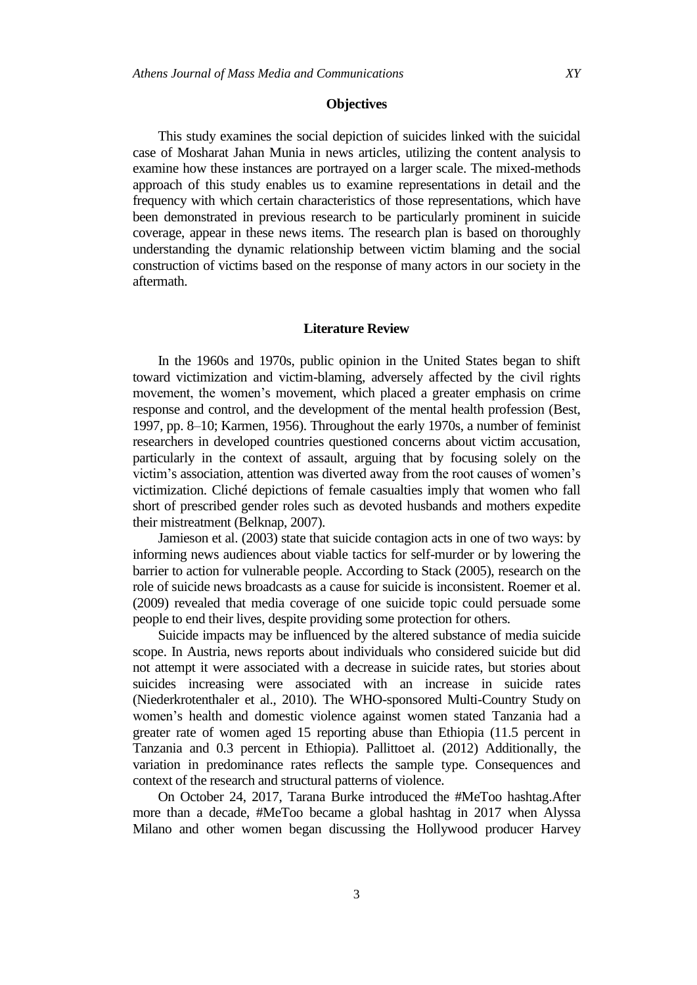#### **Objectives**

This study examines the social depiction of suicides linked with the suicidal case of Mosharat Jahan Munia in news articles, utilizing the content analysis to examine how these instances are portrayed on a larger scale. The mixed-methods approach of this study enables us to examine representations in detail and the frequency with which certain characteristics of those representations, which have been demonstrated in previous research to be particularly prominent in suicide coverage, appear in these news items. The research plan is based on thoroughly understanding the dynamic relationship between victim blaming and the social construction of victims based on the response of many actors in our society in the aftermath.

## **Literature Review**

In the 1960s and 1970s, public opinion in the United States began to shift toward victimization and victim-blaming, adversely affected by the civil rights movement, the women's movement, which placed a greater emphasis on crime response and control, and the development of the mental health profession (Best, 1997, pp. 8–10; Karmen, 1956). Throughout the early 1970s, a number of feminist researchers in developed countries questioned concerns about victim accusation, particularly in the context of assault, arguing that by focusing solely on the victim's association, attention was diverted away from the root causes of women's victimization. Cliché depictions of female casualties imply that women who fall short of prescribed gender roles such as devoted husbands and mothers expedite their mistreatment (Belknap, 2007).

Jamieson et al. (2003) state that suicide contagion acts in one of two ways: by informing news audiences about viable tactics for self-murder or by lowering the barrier to action for vulnerable people. According to Stack (2005), research on the role of suicide news broadcasts as a cause for suicide is inconsistent. Roemer et al. (2009) revealed that media coverage of one suicide topic could persuade some people to end their lives, despite providing some protection for others.

Suicide impacts may be influenced by the altered substance of media suicide scope. In Austria, news reports about individuals who considered suicide but did not attempt it were associated with a decrease in suicide rates, but stories about suicides increasing were associated with an increase in suicide rates (Niederkrotenthaler et al., 2010). The WHO-sponsored Multi-Country Study on women's health and domestic violence against women stated Tanzania had a greater rate of women aged 15 reporting abuse than Ethiopia (11.5 percent in Tanzania and 0.3 percent in Ethiopia). Pallittoet al. (2012) Additionally, the variation in predominance rates reflects the sample type. Consequences and context of the research and structural patterns of violence.

On October 24, 2017, Tarana Burke introduced the #MeToo hashtag.After more than a decade, #MeToo became a global hashtag in 2017 when Alyssa Milano and other women began discussing the Hollywood producer Harvey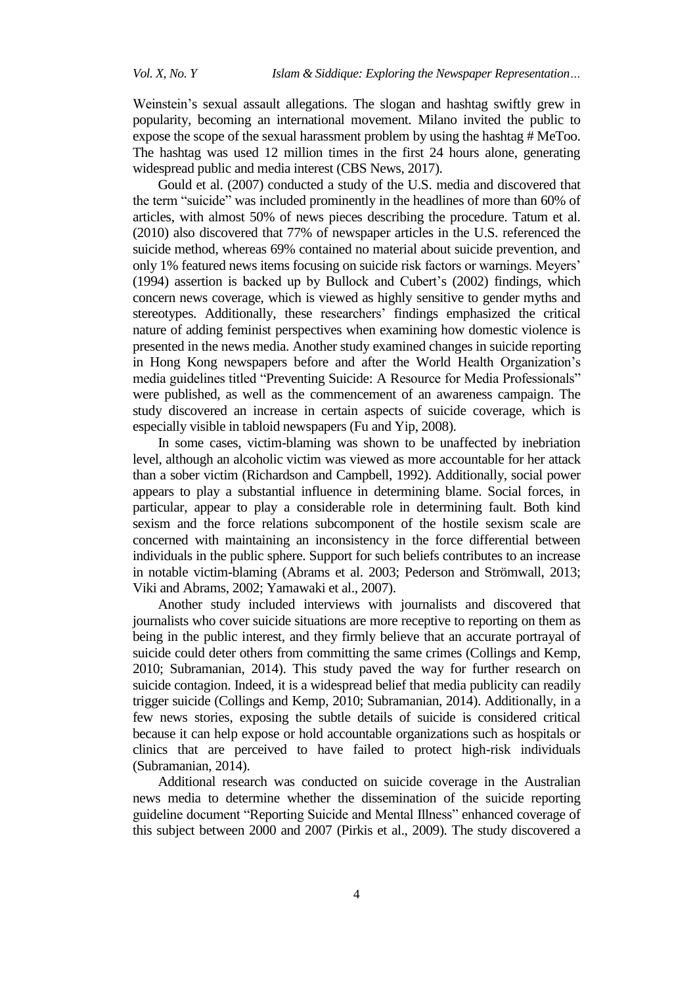Weinstein's sexual assault allegations. The slogan and hashtag swiftly grew in popularity, becoming an international movement. Milano invited the public to expose the scope of the sexual harassment problem by using the hashtag # MeToo. The hashtag was used 12 million times in the first 24 hours alone, generating widespread public and media interest (CBS News, 2017).

Gould et al. (2007) conducted a study of the U.S. media and discovered that the term "suicide" was included prominently in the headlines of more than 60% of articles, with almost 50% of news pieces describing the procedure. Tatum et al. (2010) also discovered that 77% of newspaper articles in the U.S. referenced the suicide method, whereas 69% contained no material about suicide prevention, and only 1% featured news items focusing on suicide risk factors or warnings. Meyers' (1994) assertion is backed up by Bullock and Cubert's (2002) findings, which concern news coverage, which is viewed as highly sensitive to gender myths and stereotypes. Additionally, these researchers' findings emphasized the critical nature of adding feminist perspectives when examining how domestic violence is presented in the news media. Another study examined changes in suicide reporting in Hong Kong newspapers before and after the World Health Organization's media guidelines titled "Preventing Suicide: A Resource for Media Professionals" were published, as well as the commencement of an awareness campaign. The study discovered an increase in certain aspects of suicide coverage, which is especially visible in tabloid newspapers (Fu and Yip, 2008).

In some cases, victim-blaming was shown to be unaffected by inebriation level, although an alcoholic victim was viewed as more accountable for her attack than a sober victim (Richardson and Campbell, 1992). Additionally, social power appears to play a substantial influence in determining blame. Social forces, in particular, appear to play a considerable role in determining fault. Both kind sexism and the force relations subcomponent of the hostile sexism scale are concerned with maintaining an inconsistency in the force differential between individuals in the public sphere. Support for such beliefs contributes to an increase in notable victim-blaming (Abrams et al. 2003; Pederson and Strömwall, 2013; Viki and Abrams, 2002; Yamawaki et al., 2007).

Another study included interviews with journalists and discovered that journalists who cover suicide situations are more receptive to reporting on them as being in the public interest, and they firmly believe that an accurate portrayal of suicide could deter others from committing the same crimes (Collings and Kemp, 2010; Subramanian, 2014). This study paved the way for further research on suicide contagion. Indeed, it is a widespread belief that media publicity can readily trigger suicide (Collings and Kemp, 2010; Subramanian, 2014). Additionally, in a few news stories, exposing the subtle details of suicide is considered critical because it can help expose or hold accountable organizations such as hospitals or clinics that are perceived to have failed to protect high-risk individuals (Subramanian, 2014).

Additional research was conducted on suicide coverage in the Australian news media to determine whether the dissemination of the suicide reporting guideline document "Reporting Suicide and Mental Illness" enhanced coverage of this subject between 2000 and 2007 (Pirkis et al., 2009). The study discovered a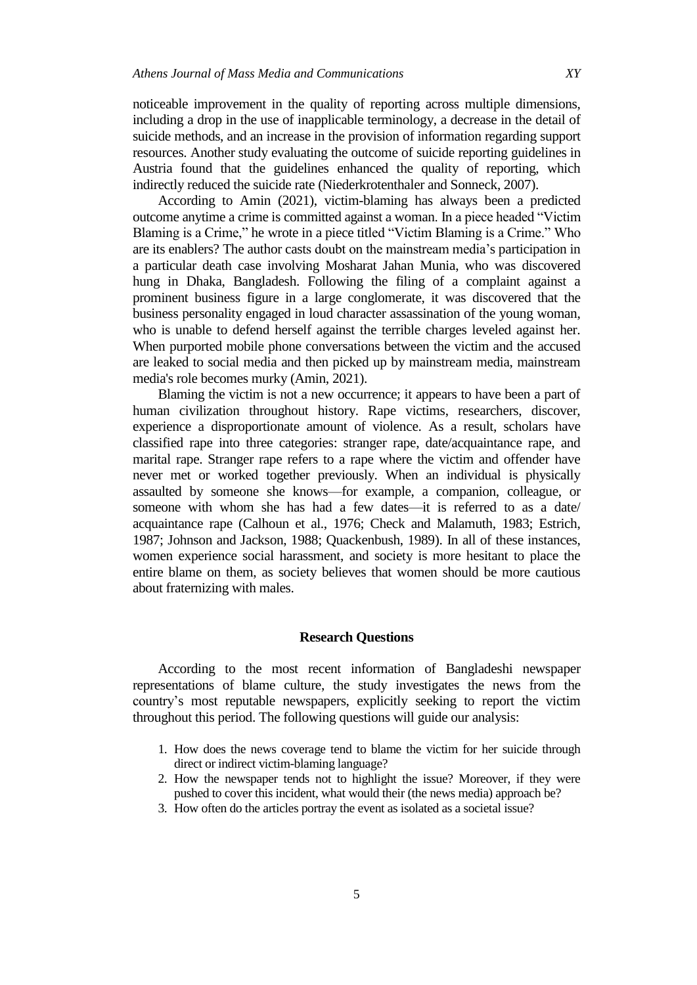noticeable improvement in the quality of reporting across multiple dimensions, including a drop in the use of inapplicable terminology, a decrease in the detail of suicide methods, and an increase in the provision of information regarding support resources. Another study evaluating the outcome of suicide reporting guidelines in Austria found that the guidelines enhanced the quality of reporting, which indirectly reduced the suicide rate (Niederkrotenthaler and Sonneck, 2007).

According to Amin (2021), victim-blaming has always been a predicted outcome anytime a crime is committed against a woman. In a piece headed "Victim" Blaming is a Crime," he wrote in a piece titled "Victim Blaming is a Crime." Who are its enablers? The author casts doubt on the mainstream media's participation in a particular death case involving Mosharat Jahan Munia, who was discovered hung in Dhaka, Bangladesh. Following the filing of a complaint against a prominent business figure in a large conglomerate, it was discovered that the business personality engaged in loud character assassination of the young woman, who is unable to defend herself against the terrible charges leveled against her. When purported mobile phone conversations between the victim and the accused are leaked to social media and then picked up by mainstream media, mainstream media's role becomes murky (Amin, 2021).

Blaming the victim is not a new occurrence; it appears to have been a part of human civilization throughout history. Rape victims, researchers, discover, experience a disproportionate amount of violence. As a result, scholars have classified rape into three categories: stranger rape, date/acquaintance rape, and marital rape. Stranger rape refers to a rape where the victim and offender have never met or worked together previously. When an individual is physically assaulted by someone she knows—for example, a companion, colleague, or someone with whom she has had a few dates—it is referred to as a date/ acquaintance rape (Calhoun et al., 1976; Check and Malamuth, 1983; Estrich, 1987; Johnson and Jackson, 1988; Quackenbush, 1989). In all of these instances, women experience social harassment, and society is more hesitant to place the entire blame on them, as society believes that women should be more cautious about fraternizing with males.

## **Research Questions**

According to the most recent information of Bangladeshi newspaper representations of blame culture, the study investigates the news from the country's most reputable newspapers, explicitly seeking to report the victim throughout this period. The following questions will guide our analysis:

- 1. How does the news coverage tend to blame the victim for her suicide through direct or indirect victim-blaming language?
- 2. How the newspaper tends not to highlight the issue? Moreover, if they were pushed to cover this incident, what would their (the news media) approach be?
- 3. How often do the articles portray the event as isolated as a societal issue?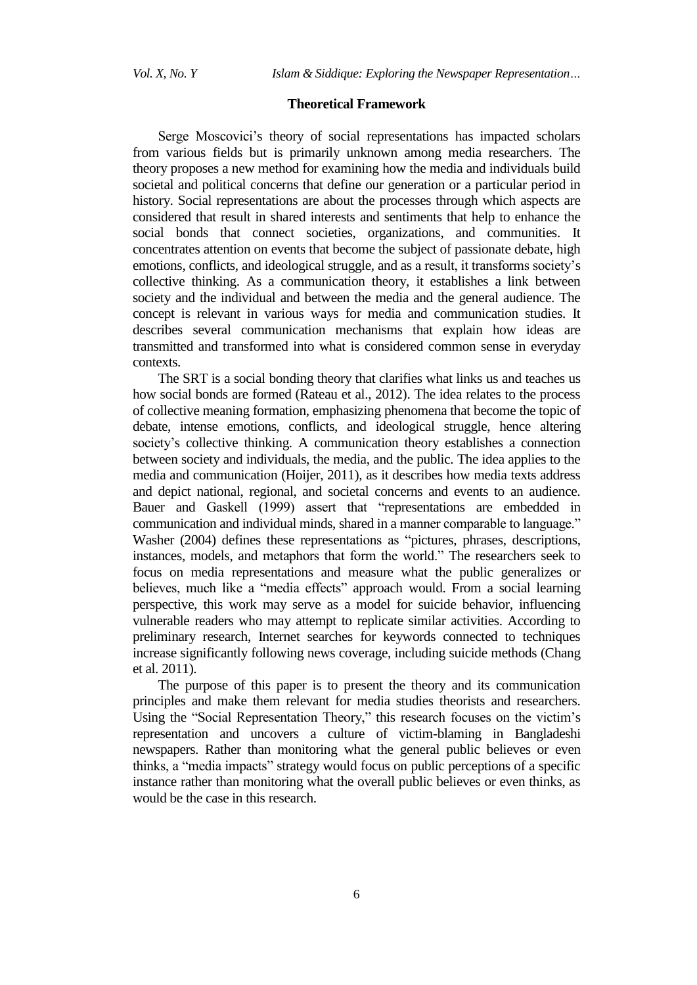## **Theoretical Framework**

Serge Moscovici's theory of social representations has impacted scholars from various fields but is primarily unknown among media researchers. The theory proposes a new method for examining how the media and individuals build societal and political concerns that define our generation or a particular period in history. Social representations are about the processes through which aspects are considered that result in shared interests and sentiments that help to enhance the social bonds that connect societies, organizations, and communities. It concentrates attention on events that become the subject of passionate debate, high emotions, conflicts, and ideological struggle, and as a result, it transforms society's collective thinking. As a communication theory, it establishes a link between society and the individual and between the media and the general audience. The concept is relevant in various ways for media and communication studies. It describes several communication mechanisms that explain how ideas are transmitted and transformed into what is considered common sense in everyday contexts.

The SRT is a social bonding theory that clarifies what links us and teaches us how social bonds are formed (Rateau et al., 2012). The idea relates to the process of collective meaning formation, emphasizing phenomena that become the topic of debate, intense emotions, conflicts, and ideological struggle, hence altering society's collective thinking. A communication theory establishes a connection between society and individuals, the media, and the public. The idea applies to the media and communication (Hoijer, 2011), as it describes how media texts address and depict national, regional, and societal concerns and events to an audience. Bauer and Gaskell (1999) assert that "representations are embedded in communication and individual minds, shared in a manner comparable to language." Washer (2004) defines these representations as "pictures, phrases, descriptions, instances, models, and metaphors that form the world." The researchers seek to focus on media representations and measure what the public generalizes or believes, much like a "media effects" approach would. From a social learning perspective, this work may serve as a model for suicide behavior, influencing vulnerable readers who may attempt to replicate similar activities. According to preliminary research, Internet searches for keywords connected to techniques increase significantly following news coverage, including suicide methods (Chang et al. 2011).

The purpose of this paper is to present the theory and its communication principles and make them relevant for media studies theorists and researchers. Using the "Social Representation Theory," this research focuses on the victim's representation and uncovers a culture of victim-blaming in Bangladeshi newspapers. Rather than monitoring what the general public believes or even thinks, a "media impacts" strategy would focus on public perceptions of a specific instance rather than monitoring what the overall public believes or even thinks, as would be the case in this research.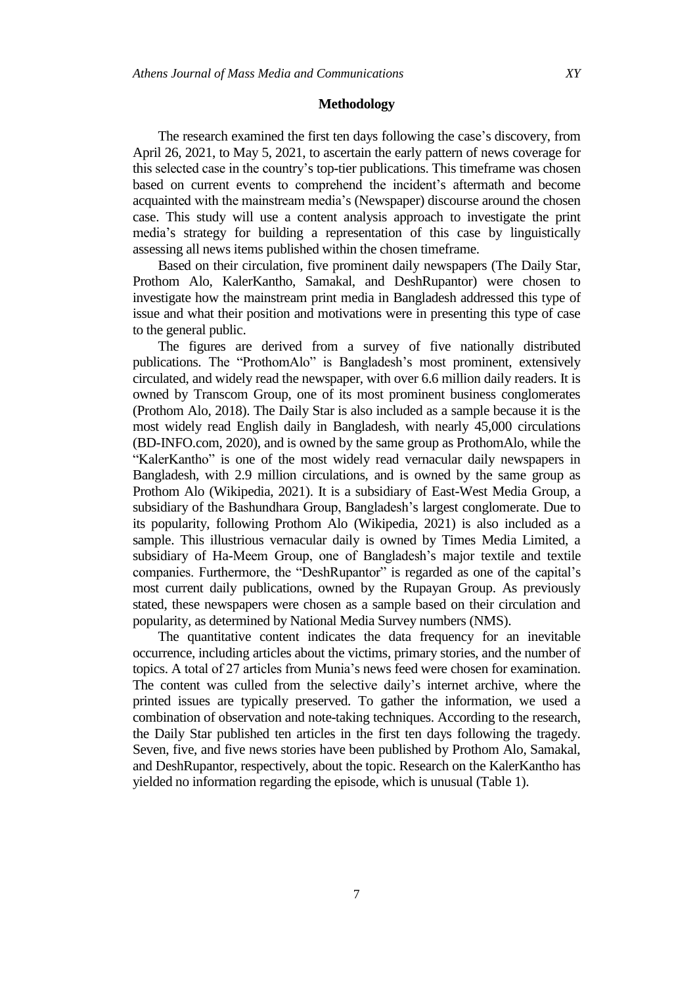#### **Methodology**

The research examined the first ten days following the case's discovery, from April 26, 2021, to May 5, 2021, to ascertain the early pattern of news coverage for this selected case in the country's top-tier publications. This timeframe was chosen based on current events to comprehend the incident's aftermath and become acquainted with the mainstream media's (Newspaper) discourse around the chosen case. This study will use a content analysis approach to investigate the print media's strategy for building a representation of this case by linguistically assessing all news items published within the chosen timeframe.

Based on their circulation, five prominent daily newspapers (The Daily Star, Prothom Alo, KalerKantho, Samakal, and DeshRupantor) were chosen to investigate how the mainstream print media in Bangladesh addressed this type of issue and what their position and motivations were in presenting this type of case to the general public.

The figures are derived from a survey of five nationally distributed publications. The "ProthomAlo" is Bangladesh's most prominent, extensively circulated, and widely read the newspaper, with over 6.6 million daily readers. It is owned by Transcom Group, one of its most prominent business conglomerates (Prothom Alo, 2018). The Daily Star is also included as a sample because it is the most widely read English daily in Bangladesh, with nearly 45,000 circulations (BD-INFO.com, 2020), and is owned by the same group as ProthomAlo, while the "KalerKantho" is one of the most widely read vernacular daily newspapers in Bangladesh, with 2.9 million circulations, and is owned by the same group as Prothom Alo (Wikipedia, 2021). It is a subsidiary of East-West Media Group, a subsidiary of the Bashundhara Group, Bangladesh's largest conglomerate. Due to its popularity, following Prothom Alo (Wikipedia, 2021) is also included as a sample. This illustrious vernacular daily is owned by Times Media Limited, a subsidiary of Ha-Meem Group, one of Bangladesh's major textile and textile companies. Furthermore, the "DeshRupantor" is regarded as one of the capital's most current daily publications, owned by the Rupayan Group. As previously stated, these newspapers were chosen as a sample based on their circulation and popularity, as determined by National Media Survey numbers (NMS).

The quantitative content indicates the data frequency for an inevitable occurrence, including articles about the victims, primary stories, and the number of topics. A total of 27 articles from Munia's news feed were chosen for examination. The content was culled from the selective daily's internet archive, where the printed issues are typically preserved. To gather the information, we used a combination of observation and note-taking techniques. According to the research, the Daily Star published ten articles in the first ten days following the tragedy. Seven, five, and five news stories have been published by Prothom Alo, Samakal, and DeshRupantor, respectively, about the topic. Research on the KalerKantho has yielded no information regarding the episode, which is unusual (Table 1).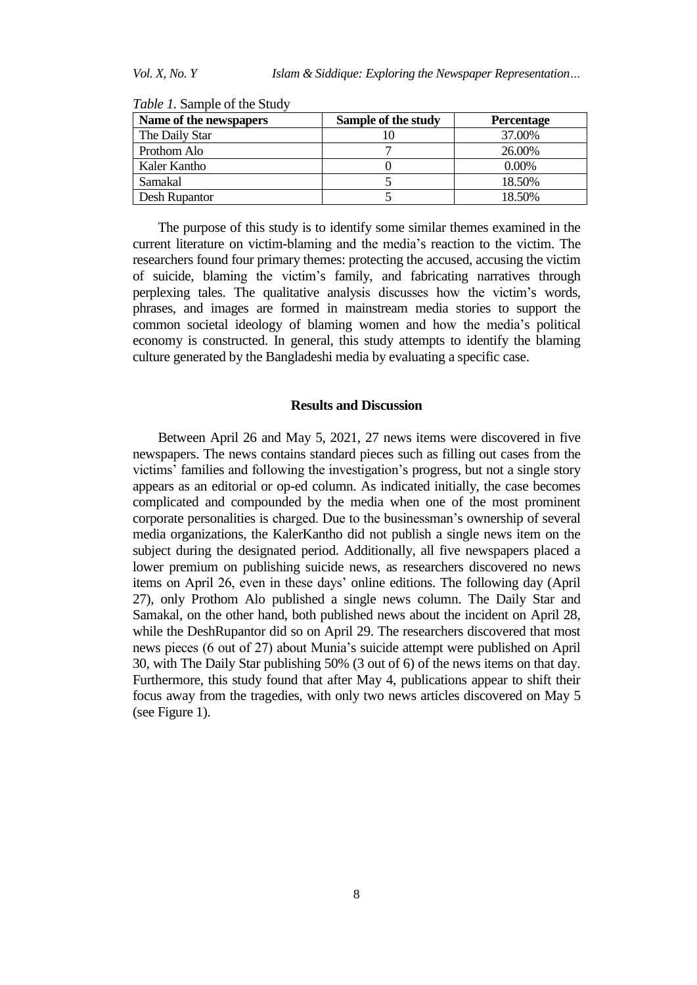| Name of the newspapers | Sample of the study | <b>Percentage</b> |
|------------------------|---------------------|-------------------|
| The Daily Star         |                     | 37.00%            |
| Prothom Alo            |                     | 26.00%            |
| Kaler Kantho           |                     | $0.00\%$          |
| Samakal                |                     | 18.50%            |
| Desh Rupantor          |                     | 18.50%            |

*Table 1.* Sample of the Study

The purpose of this study is to identify some similar themes examined in the current literature on victim-blaming and the media's reaction to the victim. The researchers found four primary themes: protecting the accused, accusing the victim of suicide, blaming the victim's family, and fabricating narratives through perplexing tales. The qualitative analysis discusses how the victim's words, phrases, and images are formed in mainstream media stories to support the common societal ideology of blaming women and how the media's political economy is constructed. In general, this study attempts to identify the blaming culture generated by the Bangladeshi media by evaluating a specific case.

### **Results and Discussion**

Between April 26 and May 5, 2021, 27 news items were discovered in five newspapers. The news contains standard pieces such as filling out cases from the victims' families and following the investigation's progress, but not a single story appears as an editorial or op-ed column. As indicated initially, the case becomes complicated and compounded by the media when one of the most prominent corporate personalities is charged. Due to the businessman's ownership of several media organizations, the KalerKantho did not publish a single news item on the subject during the designated period. Additionally, all five newspapers placed a lower premium on publishing suicide news, as researchers discovered no news items on April 26, even in these days' online editions. The following day (April 27), only Prothom Alo published a single news column. The Daily Star and Samakal, on the other hand, both published news about the incident on April 28, while the DeshRupantor did so on April 29. The researchers discovered that most news pieces (6 out of 27) about Munia's suicide attempt were published on April 30, with The Daily Star publishing 50% (3 out of 6) of the news items on that day. Furthermore, this study found that after May 4, publications appear to shift their focus away from the tragedies, with only two news articles discovered on May 5 (see Figure 1).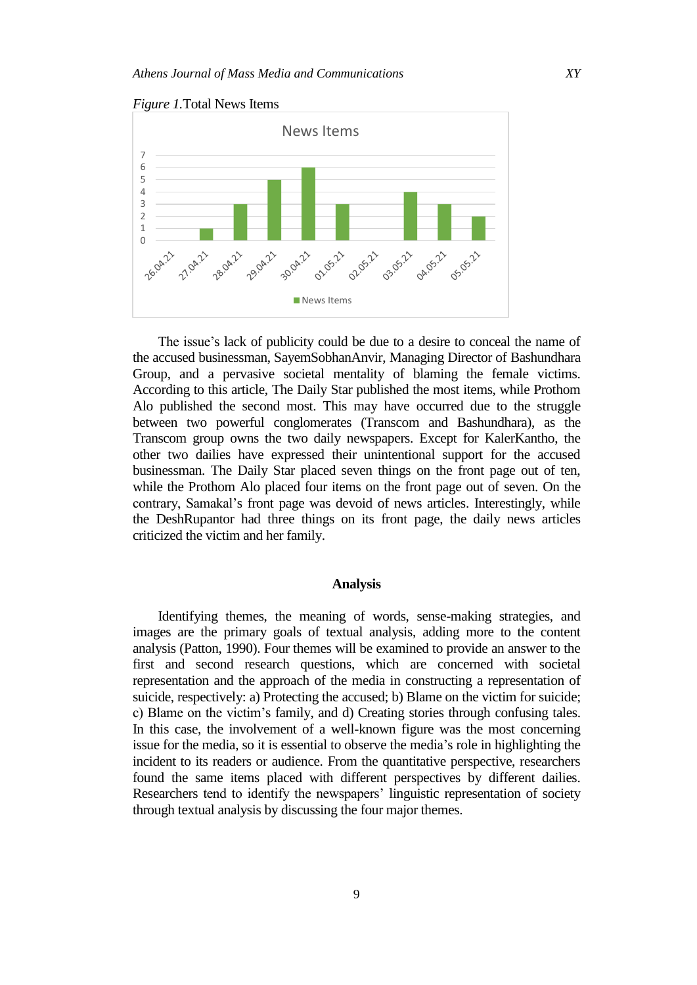

*Figure 1.*Total News Items

The issue's lack of publicity could be due to a desire to conceal the name of the accused businessman, SayemSobhanAnvir, Managing Director of Bashundhara Group, and a pervasive societal mentality of blaming the female victims. According to this article, The Daily Star published the most items, while Prothom Alo published the second most. This may have occurred due to the struggle between two powerful conglomerates (Transcom and Bashundhara), as the Transcom group owns the two daily newspapers. Except for KalerKantho, the other two dailies have expressed their unintentional support for the accused businessman. The Daily Star placed seven things on the front page out of ten, while the Prothom Alo placed four items on the front page out of seven. On the contrary, Samakal's front page was devoid of news articles. Interestingly, while the DeshRupantor had three things on its front page, the daily news articles criticized the victim and her family.

#### **Analysis**

Identifying themes, the meaning of words, sense-making strategies, and images are the primary goals of textual analysis, adding more to the content analysis (Patton, 1990). Four themes will be examined to provide an answer to the first and second research questions, which are concerned with societal representation and the approach of the media in constructing a representation of suicide, respectively: a) Protecting the accused; b) Blame on the victim for suicide; c) Blame on the victim's family, and d) Creating stories through confusing tales. In this case, the involvement of a well-known figure was the most concerning issue for the media, so it is essential to observe the media's role in highlighting the incident to its readers or audience. From the quantitative perspective, researchers found the same items placed with different perspectives by different dailies. Researchers tend to identify the newspapers' linguistic representation of society through textual analysis by discussing the four major themes.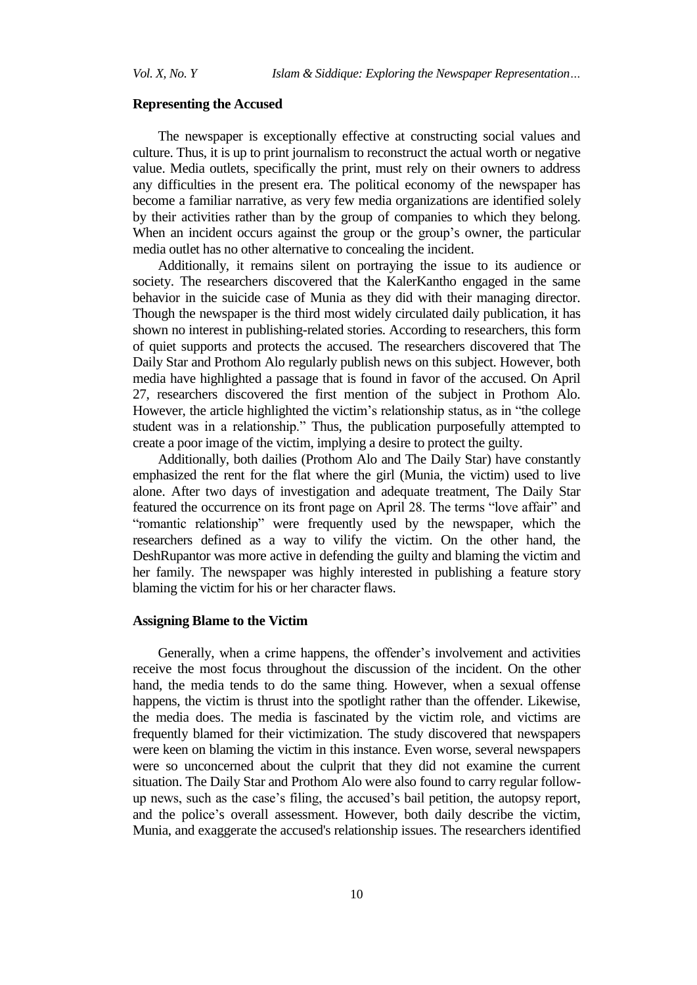#### **Representing the Accused**

The newspaper is exceptionally effective at constructing social values and culture. Thus, it is up to print journalism to reconstruct the actual worth or negative value. Media outlets, specifically the print, must rely on their owners to address any difficulties in the present era. The political economy of the newspaper has become a familiar narrative, as very few media organizations are identified solely by their activities rather than by the group of companies to which they belong. When an incident occurs against the group or the group's owner, the particular media outlet has no other alternative to concealing the incident.

Additionally, it remains silent on portraying the issue to its audience or society. The researchers discovered that the KalerKantho engaged in the same behavior in the suicide case of Munia as they did with their managing director. Though the newspaper is the third most widely circulated daily publication, it has shown no interest in publishing-related stories. According to researchers, this form of quiet supports and protects the accused. The researchers discovered that The Daily Star and Prothom Alo regularly publish news on this subject. However, both media have highlighted a passage that is found in favor of the accused. On April 27, researchers discovered the first mention of the subject in Prothom Alo. However, the article highlighted the victim's relationship status, as in "the college student was in a relationship." Thus, the publication purposefully attempted to create a poor image of the victim, implying a desire to protect the guilty.

Additionally, both dailies (Prothom Alo and The Daily Star) have constantly emphasized the rent for the flat where the girl (Munia, the victim) used to live alone. After two days of investigation and adequate treatment, The Daily Star featured the occurrence on its front page on April 28. The terms "love affair" and "romantic relationship" were frequently used by the newspaper, which the researchers defined as a way to vilify the victim. On the other hand, the DeshRupantor was more active in defending the guilty and blaming the victim and her family. The newspaper was highly interested in publishing a feature story blaming the victim for his or her character flaws.

## **Assigning Blame to the Victim**

Generally, when a crime happens, the offender's involvement and activities receive the most focus throughout the discussion of the incident. On the other hand, the media tends to do the same thing. However, when a sexual offense happens, the victim is thrust into the spotlight rather than the offender. Likewise, the media does. The media is fascinated by the victim role, and victims are frequently blamed for their victimization. The study discovered that newspapers were keen on blaming the victim in this instance. Even worse, several newspapers were so unconcerned about the culprit that they did not examine the current situation. The Daily Star and Prothom Alo were also found to carry regular followup news, such as the case's filing, the accused's bail petition, the autopsy report, and the police's overall assessment. However, both daily describe the victim, Munia, and exaggerate the accused's relationship issues. The researchers identified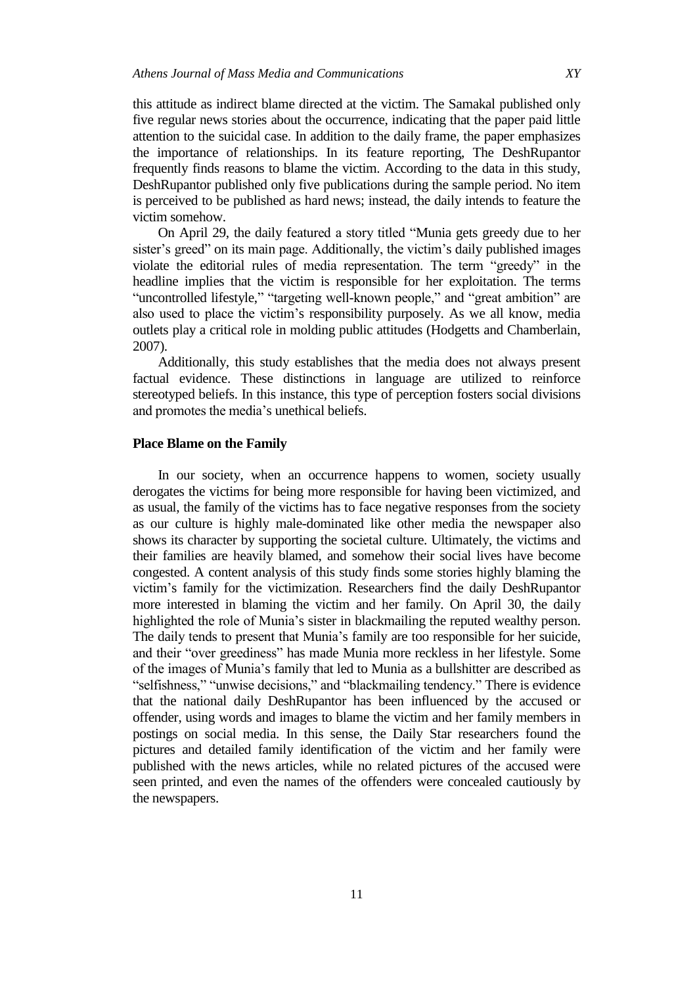this attitude as indirect blame directed at the victim. The Samakal published only five regular news stories about the occurrence, indicating that the paper paid little attention to the suicidal case. In addition to the daily frame, the paper emphasizes the importance of relationships. In its feature reporting, The DeshRupantor frequently finds reasons to blame the victim. According to the data in this study, DeshRupantor published only five publications during the sample period. No item is perceived to be published as hard news; instead, the daily intends to feature the victim somehow.

On April 29, the daily featured a story titled "Munia gets greedy due to her sister's greed" on its main page. Additionally, the victim's daily published images violate the editorial rules of media representation. The term "greedy" in the headline implies that the victim is responsible for her exploitation. The terms "uncontrolled lifestyle," "targeting well-known people," and "great ambition" are also used to place the victim's responsibility purposely. As we all know, media outlets play a critical role in molding public attitudes (Hodgetts and Chamberlain, 2007).

Additionally, this study establishes that the media does not always present factual evidence. These distinctions in language are utilized to reinforce stereotyped beliefs. In this instance, this type of perception fosters social divisions and promotes the media's unethical beliefs.

## **Place Blame on the Family**

In our society, when an occurrence happens to women, society usually derogates the victims for being more responsible for having been victimized, and as usual, the family of the victims has to face negative responses from the society as our culture is highly male-dominated like other media the newspaper also shows its character by supporting the societal culture. Ultimately, the victims and their families are heavily blamed, and somehow their social lives have become congested. A content analysis of this study finds some stories highly blaming the victim's family for the victimization. Researchers find the daily DeshRupantor more interested in blaming the victim and her family. On April 30, the daily highlighted the role of Munia's sister in blackmailing the reputed wealthy person. The daily tends to present that Munia's family are too responsible for her suicide, and their "over greediness" has made Munia more reckless in her lifestyle. Some of the images of Munia's family that led to Munia as a bullshitter are described as "selfishness," "unwise decisions," and "blackmailing tendency." There is evidence that the national daily DeshRupantor has been influenced by the accused or offender, using words and images to blame the victim and her family members in postings on social media. In this sense, the Daily Star researchers found the pictures and detailed family identification of the victim and her family were published with the news articles, while no related pictures of the accused were seen printed, and even the names of the offenders were concealed cautiously by the newspapers.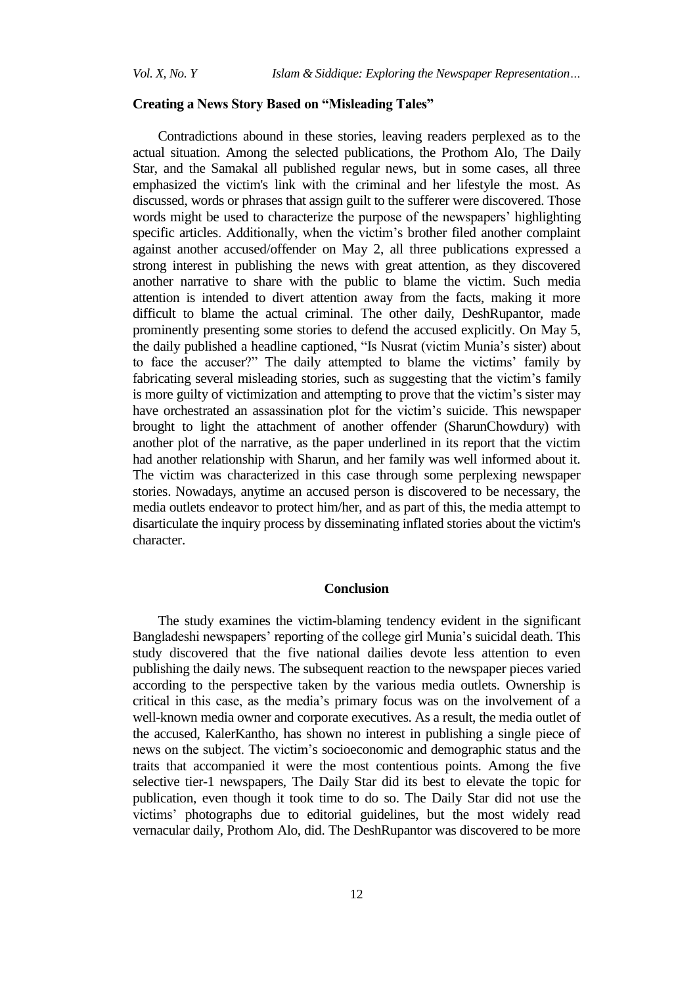## **Creating a News Story Based on "Misleading Tales"**

Contradictions abound in these stories, leaving readers perplexed as to the actual situation. Among the selected publications, the Prothom Alo, The Daily Star, and the Samakal all published regular news, but in some cases, all three emphasized the victim's link with the criminal and her lifestyle the most. As discussed, words or phrases that assign guilt to the sufferer were discovered. Those words might be used to characterize the purpose of the newspapers' highlighting specific articles. Additionally, when the victim's brother filed another complaint against another accused/offender on May 2, all three publications expressed a strong interest in publishing the news with great attention, as they discovered another narrative to share with the public to blame the victim. Such media attention is intended to divert attention away from the facts, making it more difficult to blame the actual criminal. The other daily, DeshRupantor, made prominently presenting some stories to defend the accused explicitly. On May 5, the daily published a headline captioned, "Is Nusrat (victim Munia's sister) about to face the accuser?" The daily attempted to blame the victims' family by fabricating several misleading stories, such as suggesting that the victim's family is more guilty of victimization and attempting to prove that the victim's sister may have orchestrated an assassination plot for the victim's suicide. This newspaper brought to light the attachment of another offender (SharunChowdury) with another plot of the narrative, as the paper underlined in its report that the victim had another relationship with Sharun, and her family was well informed about it. The victim was characterized in this case through some perplexing newspaper stories. Nowadays, anytime an accused person is discovered to be necessary, the media outlets endeavor to protect him/her, and as part of this, the media attempt to disarticulate the inquiry process by disseminating inflated stories about the victim's character.

## **Conclusion**

The study examines the victim-blaming tendency evident in the significant Bangladeshi newspapers' reporting of the college girl Munia's suicidal death. This study discovered that the five national dailies devote less attention to even publishing the daily news. The subsequent reaction to the newspaper pieces varied according to the perspective taken by the various media outlets. Ownership is critical in this case, as the media's primary focus was on the involvement of a well-known media owner and corporate executives. As a result, the media outlet of the accused, KalerKantho, has shown no interest in publishing a single piece of news on the subject. The victim's socioeconomic and demographic status and the traits that accompanied it were the most contentious points. Among the five selective tier-1 newspapers, The Daily Star did its best to elevate the topic for publication, even though it took time to do so. The Daily Star did not use the victims' photographs due to editorial guidelines, but the most widely read vernacular daily, Prothom Alo, did. The DeshRupantor was discovered to be more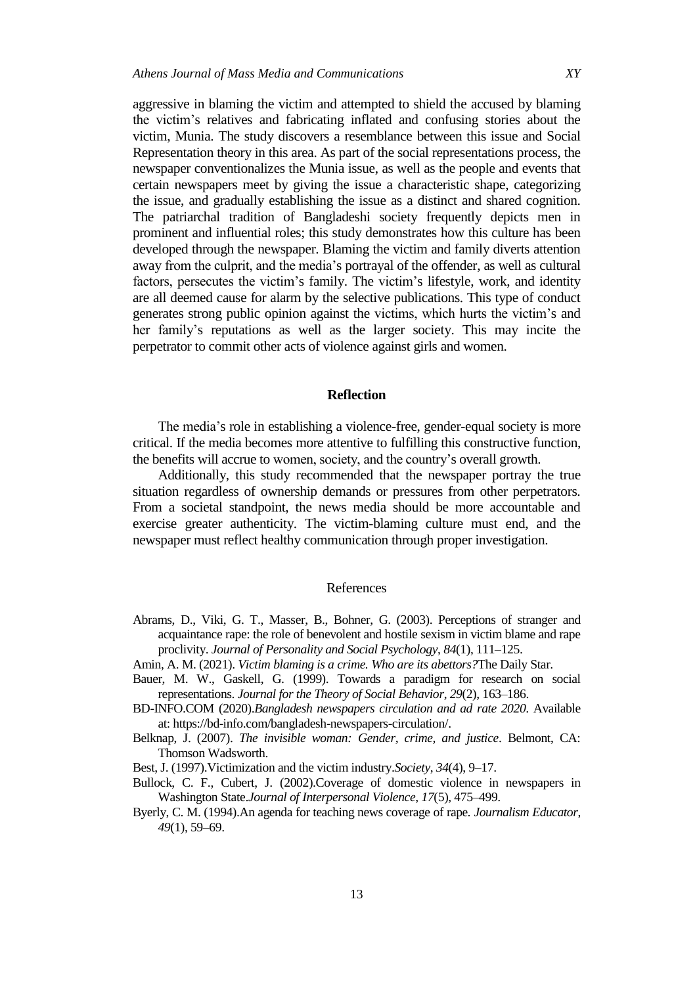aggressive in blaming the victim and attempted to shield the accused by blaming the victim's relatives and fabricating inflated and confusing stories about the victim, Munia. The study discovers a resemblance between this issue and Social Representation theory in this area. As part of the social representations process, the newspaper conventionalizes the Munia issue, as well as the people and events that certain newspapers meet by giving the issue a characteristic shape, categorizing the issue, and gradually establishing the issue as a distinct and shared cognition. The patriarchal tradition of Bangladeshi society frequently depicts men in prominent and influential roles; this study demonstrates how this culture has been developed through the newspaper. Blaming the victim and family diverts attention away from the culprit, and the media's portrayal of the offender, as well as cultural factors, persecutes the victim's family. The victim's lifestyle, work, and identity are all deemed cause for alarm by the selective publications. This type of conduct generates strong public opinion against the victims, which hurts the victim's and her family's reputations as well as the larger society. This may incite the perpetrator to commit other acts of violence against girls and women.

## **Reflection**

The media's role in establishing a violence-free, gender-equal society is more critical. If the media becomes more attentive to fulfilling this constructive function, the benefits will accrue to women, society, and the country's overall growth.

Additionally, this study recommended that the newspaper portray the true situation regardless of ownership demands or pressures from other perpetrators. From a societal standpoint, the news media should be more accountable and exercise greater authenticity. The victim-blaming culture must end, and the newspaper must reflect healthy communication through proper investigation.

## References

- Abrams, D., Viki, G. T., Masser, B., Bohner, G. (2003). Perceptions of stranger and acquaintance rape: the role of benevolent and hostile sexism in victim blame and rape proclivity. *Journal of Personality and Social Psychology*, *84*(1), 111–125.
- Amin, A. M. (2021). *Victim blaming is a crime. Who are its abettors?*The Daily Star.
- Bauer, M. W., Gaskell, G. (1999). Towards a paradigm for research on social representations. *Journal for the Theory of Social Behavior*, *29*(2), 163–186.
- BD-INFO.COM (2020).*Bangladesh newspapers circulation and ad rate 2020*. Available at: [https://bd-info.com/bangladesh-newspapers-circulation/.](https://bd-info.com/bangladesh-newspapers-circulation/)
- Belknap, J. (2007). *The invisible woman: Gender, crime, and justice*. Belmont, CA: Thomson Wadsworth.
- Best, J. (1997).Victimization and the victim industry.*Society*, *34*(4), 9–17.
- Bullock, C. F., Cubert, J. (2002).Coverage of domestic violence in newspapers in Washington State.*Journal of Interpersonal Violence*, *17*(5), 475–499.
- Byerly, C. M. (1994).An agenda for teaching news coverage of rape*. Journalism Educator*, *49*(1), 59–69.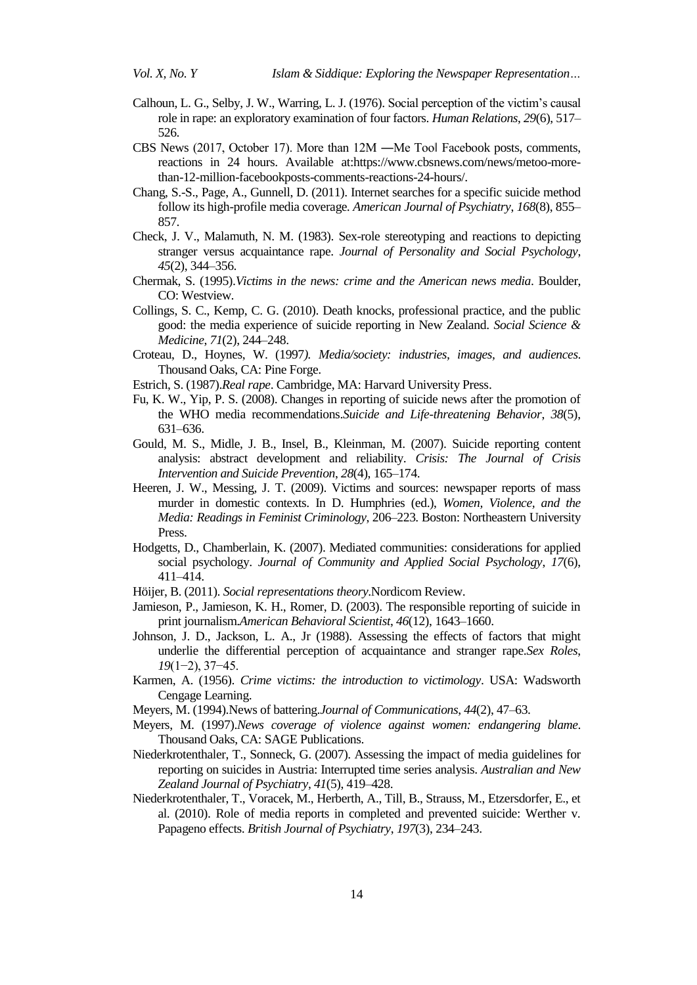- Calhoun, L. G., Selby, J. W., Warring, L. J. (1976). Social perception of the victim's causal role in rape: an exploratory examination of four factors. *Human Relations*, *29*(6), 517– 526.
- CBS News (2017, October 17). More than 12M ―Me Too‖ Facebook posts, comments, reactions in 24 hours. Available at[:https://www.cbsnews.com/news/metoo-more](https://www.cbsnews.com/news/metoo-more-than-12-million-facebookposts-comments-reactions-24-hours/)[than-12-million-facebookposts-comments-reactions-24-hours/.](https://www.cbsnews.com/news/metoo-more-than-12-million-facebookposts-comments-reactions-24-hours/)
- Chang, S.-S., Page, A., Gunnell, D. (2011). Internet searches for a specific suicide method follow its high-profile media coverage*. American Journal of Psychiatry*, *168*(8), 855– 857.
- Check, J. V., Malamuth, N. M. (1983). Sex-role stereotyping and reactions to depicting stranger versus acquaintance rape. *Journal of Personality and Social Psychology*, *45*(2), 344–356.
- Chermak, S. (1995).*Victims in the news: crime and the American news media*. Boulder, CO: Westview.
- Collings, S. C., Kemp, C. G. (2010). Death knocks, professional practice, and the public good: the media experience of suicide reporting in New Zealand. *Social Science & Medicine*, *71*(2), 244–248.
- Croteau, D., Hoynes, W. (1997*). Media/society: industries, images, and audiences*. Thousand Oaks, CA: Pine Forge.
- Estrich, S. (1987).*Real rape*. Cambridge, MA: Harvard University Press.
- Fu, K. W., Yip, P. S. (2008). Changes in reporting of suicide news after the promotion of the WHO media recommendations.*Suicide and Life-threatening Behavior*, *38*(5), 631–636.
- Gould, M. S., Midle, J. B., Insel, B., Kleinman, M. (2007). Suicide reporting content analysis: abstract development and reliability. *Crisis: The Journal of Crisis Intervention and Suicide Prevention*, *28*(4), 165–174.
- Heeren, J. W., Messing, J. T. (2009). Victims and sources: newspaper reports of mass murder in domestic contexts. In D. Humphries (ed.), *Women, Violence, and the Media: Readings in Feminist Criminology*, 206–223. Boston: Northeastern University Press.
- Hodgetts, D., Chamberlain, K. (2007). Mediated communities: considerations for applied social psychology. *Journal of Community and Applied Social Psychology*, *17*(6), 411–414.
- Höijer, B. (2011). *Social representations theory*.Nordicom Review.
- Jamieson, P., Jamieson, K. H., Romer, D. (2003). The responsible reporting of suicide in print journalism.*American Behavioral Scientist*, *46*(12), 1643–1660.
- Johnson, J. D., Jackson, L. A., Jr (1988). Assessing the effects of factors that might underlie the differential perception of acquaintance and stranger rape.*Sex Roles*, *19*(1−2), 37−45.
- Karmen, A. (1956). *Crime victims: the introduction to victimology*. USA: Wadsworth Cengage Learning.
- Meyers, M. (1994).News of battering.*Journal of Communications*, *44*(2), 47–63.
- Meyers, M. (1997).*News coverage of violence against women: endangering blame*. Thousand Oaks, CA: SAGE Publications.
- Niederkrotenthaler, T., Sonneck, G. (2007). Assessing the impact of media guidelines for reporting on suicides in Austria: Interrupted time series analysis. *Australian and New Zealand Journal of Psychiatry*, *41*(5), 419–428.
- Niederkrotenthaler, T., Voracek, M., Herberth, A., Till, B., Strauss, M., Etzersdorfer, E., et al. (2010). Role of media reports in completed and prevented suicide: Werther v. Papageno effects. *British Journal of Psychiatry*, *197*(3), 234–243.